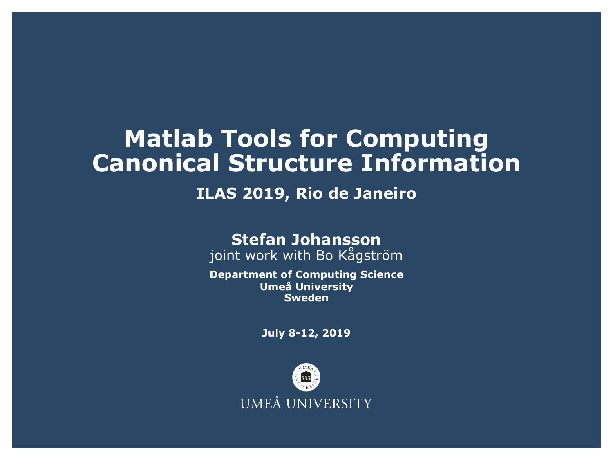### **Matlab Tools for Computing Canonical Structure Information**

### **ILAS 2019, Rio de Janeiro**

#### **Stefan Johansson**

joint work with Bo Kågström

**Department of Computing Science Umeå University Sweden**

**July 8-12, 2019**

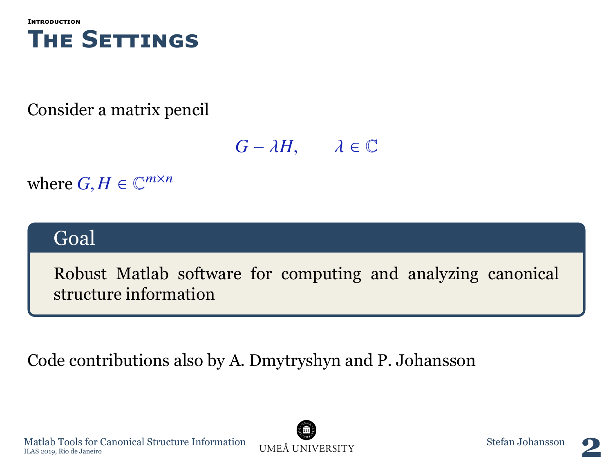<span id="page-1-0"></span>

### Consider a matrix pencil

 $G - \lambda H$ ,  $\lambda \in \mathbb{C}$ 

where  $G, H \in \mathbb{C}^{m \times n}$ 

### Goal

Robust Matlab software for computing and analyzing canonical structure information

Code contributions also by A. Dmytryshyn and P. Johansson





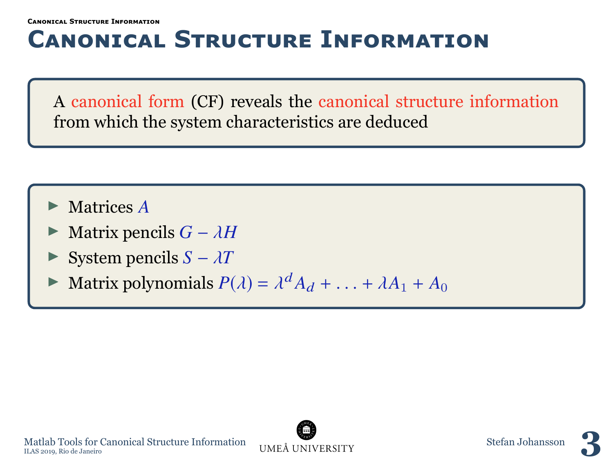## <span id="page-2-0"></span>**Canonıcal Structure Informatıon**

A canonical form (CF) reveals the canonical structure information from which the system characteristics are deduced

- I Matrices *A*
- Matrix pencils  $G \lambda H$
- System pencils  $S \lambda T$
- $\blacktriangleright$  Matrix polynomials  $P(\lambda) = \lambda^d A_d + \ldots + \lambda A_1 + A_0$

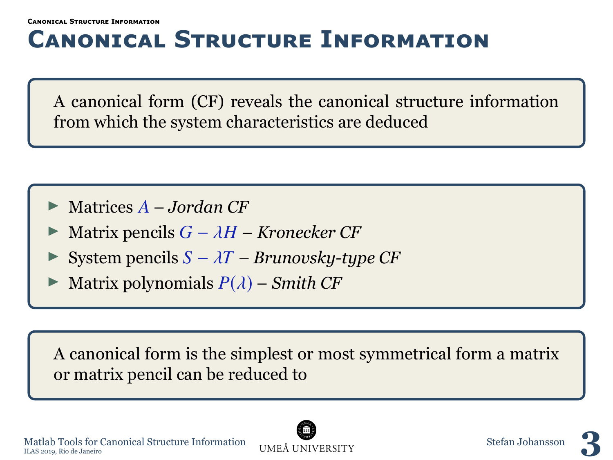## **Canonıcal Structure Informatıon**

A canonical form (CF) reveals the canonical structure information from which the system characteristics are deduced

- I Matrices *A Jordan CF*
- <sup>I</sup> Matrix pencils *<sup>G</sup>* <sup>−</sup> <sup>λ</sup>*<sup>H</sup> Kronecker CF*
- System pencils  $S \lambda T$  *Brunovsky-type CF*
- Matrix polynomials  $P(\lambda)$  *Smith CF*

A canonical form is the simplest or most symmetrical form a matrix or matrix pencil can be reduced to



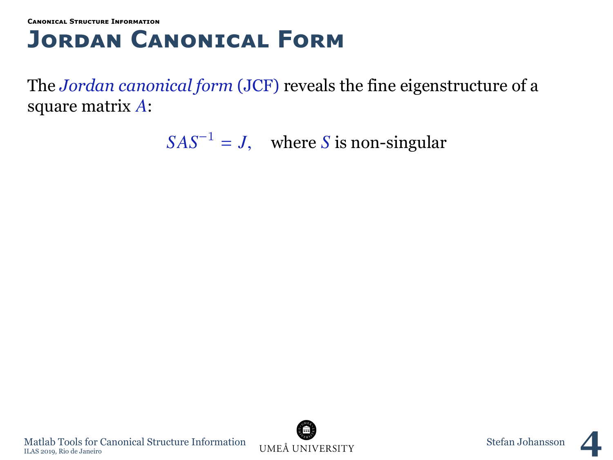## **Jordan Canonıcal Form**

The *Jordan canonical form* (JCF) reveals the fine eigenstructure of a square matrix *A*:

 $SAS^{-1} = J$ , where *S* is non-singular



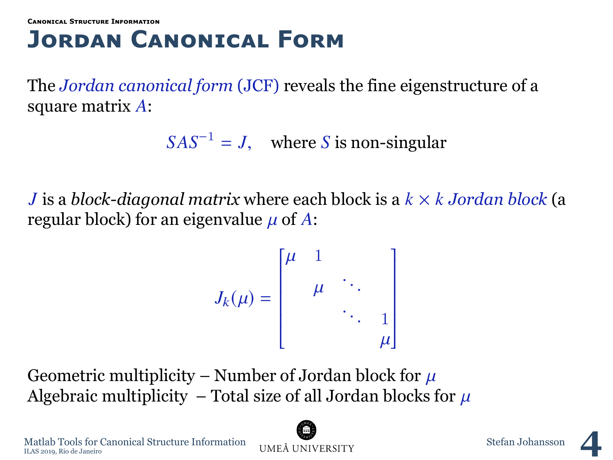## **Jordan Canonıcal Form**

The *Jordan canonical form* (JCF) reveals the fine eigenstructure of a square matrix *A*:

 $SAS^{-1} = J$ , where *S* is non-singular

*J* is a *block-diagonal matrix* where each block is a *k* × *k Jordan block* (a regular block) for an eigenvalue  $\mu$  of A:

$$
J_k(\mu) = \begin{bmatrix} \mu & 1 & & \\ & \mu & \ddots & \\ & & \ddots & 1 \\ & & & \mu \end{bmatrix}
$$

Geometric multiplicity – Number of Jordan block for  $\mu$ Algebraic multiplicity – Total size of all Jordan blocks for  $\mu$ 



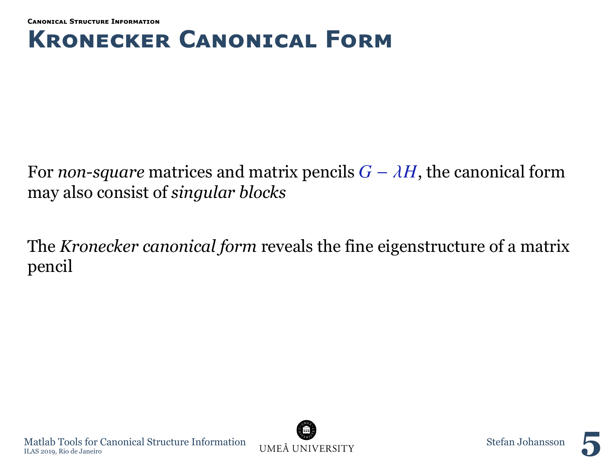## **Kronecker Canonıcal Form**

For *non-square* matrices and matrix pencils  $G - \lambda H$ , the canonical form may also consist of *singular blocks*

The *Kronecker canonical form* reveals the fine eigenstructure of a matrix pencil

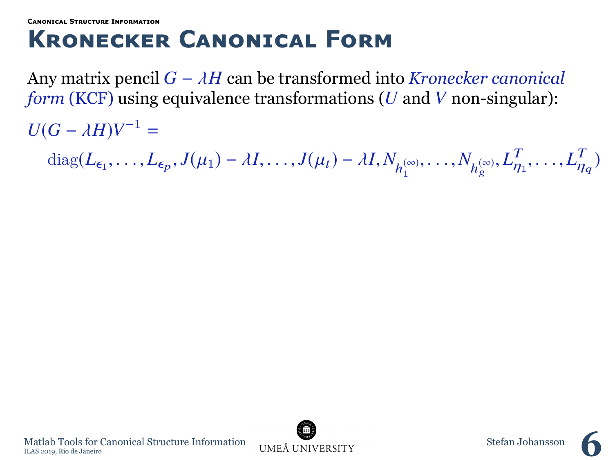**[Canonıcal Structure Informatıon](#page-2-0)**

### **Kronecker Canonıcal Form**

Any matrix pencil *<sup>G</sup>* <sup>−</sup> λ*<sup>H</sup>* can be transformed into *Kronecker canonical form* (KCF) using equivalence transformations (*U* and *V* non-singular):

 $U(G - \lambda H)V^{-1} =$ 

diag( $L_{\epsilon_1}, \ldots, L_{\epsilon_p}, J(\mu_1) - \lambda I, \ldots, J(\mu_t) - \lambda I, N_{h_1^{(\infty)}}, \ldots, N_{h_g^{(\infty)}}, L_\eta^T$  $T_{\eta_1}, \ldots, L_{\eta}^T$  $\eta_q$ )

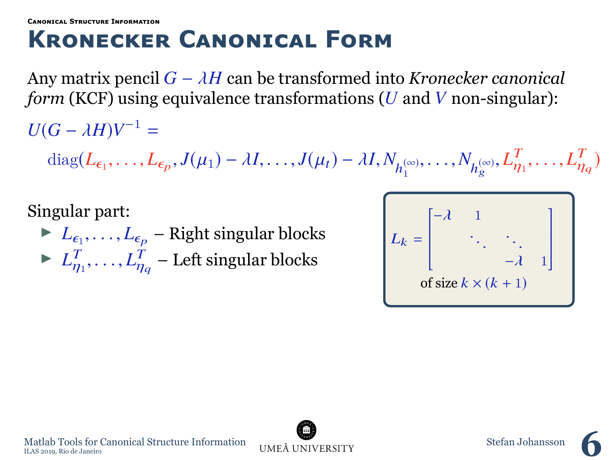**[Canonıcal Structure Informatıon](#page-2-0)**

### **Kronecker Canonıcal Form**

Any matrix pencil *<sup>G</sup>* <sup>−</sup> λ*<sup>H</sup>* can be transformed into *Kronecker canonical form* (KCF) using equivalence transformations (*U* and *V* non-singular):

 $U(G - \lambda H)V^{-1} =$ 

diag( $L_{\epsilon_1}, \ldots, L_{\epsilon_p}, J(\mu_1) - \lambda I, \ldots, J(\mu_t) - \lambda I, N_{h_1^{(\infty)}}, \ldots, N_{h_g^{(\infty)}}, L_\eta^T$  $T_{\eta_1}, \ldots, L_{\eta}^T$  $\eta_q$ )

Singular part:

 $L_{\epsilon_1}, \ldots, L_{\epsilon_p}$  – Right singular blocks  $\blacktriangleright$   $L_n^T$  $T_{\eta_1}, \ldots, L_{\eta}^T$  $\frac{1}{n_q}$  – Left singular blocks

| of size $k \times (k + 1)$ |  |  |  |  |  |  |  |  |  |
|----------------------------|--|--|--|--|--|--|--|--|--|
|                            |  |  |  |  |  |  |  |  |  |

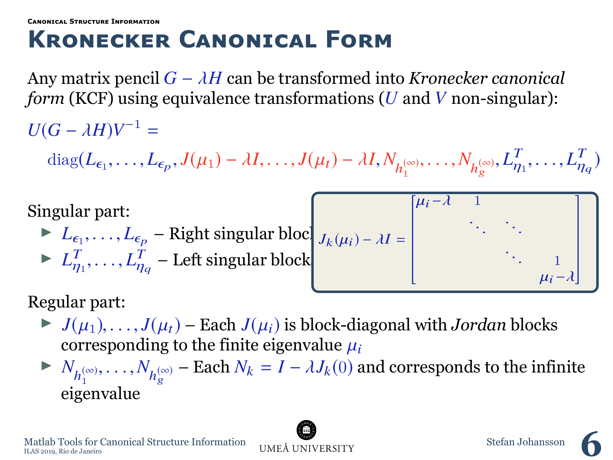## **Kronecker Canonıcal Form**

Any matrix pencil *<sup>G</sup>* <sup>−</sup> λ*<sup>H</sup>* can be transformed into *Kronecker canonical form* (KCF) using equivalence transformations (*U* and *V* non-singular):

 $U(G - \lambda H)V^{-1} =$ 

diag( $L_{\epsilon_1}, \ldots, L_{\epsilon_p}, J(\mu_1) - \lambda I, \ldots, J(\mu_t) - \lambda I, N_{h_1^{(\infty)}}, \ldots, N_{h_g^{(\infty)}}, L_\eta^T$  $T_{\eta_1}, \ldots, L_{\eta}^T$  $\eta_q$ )

Singular part:

 $L_{\epsilon_1}, \ldots, L_{\epsilon_p}$  – Right singular block  $J_k(\mu_i) - \lambda I =$  $\blacktriangleright$   $L_n^T$  $T_{\eta_1}, \ldots, L_{\eta}^T$  $\frac{1}{n_q}$  – Left singular block I I I I I I

$$
f(t) - \lambda I = \begin{bmatrix} \mu_i - \lambda & 1 & & & \\ & \ddots & \ddots & & \\ & & \ddots & \ddots & \\ & & & & \mu_i - \lambda \end{bmatrix}
$$

Regular part:

- $\blacktriangleright$  *J*( $\mu_1$ ), ..., *J*( $\mu_t$ ) Each *J*( $\mu_i$ ) is block-diagonal with *Jordan* blocks corresponding to the finite eigenvalue  $\mu_i$
- ►  $N_{h_1^{(\infty)}}, \ldots, N_{h_g^{(\infty)}}$  Each  $N_k = I \lambda J_k(0)$  and corresponds to the infinite eigenvalue

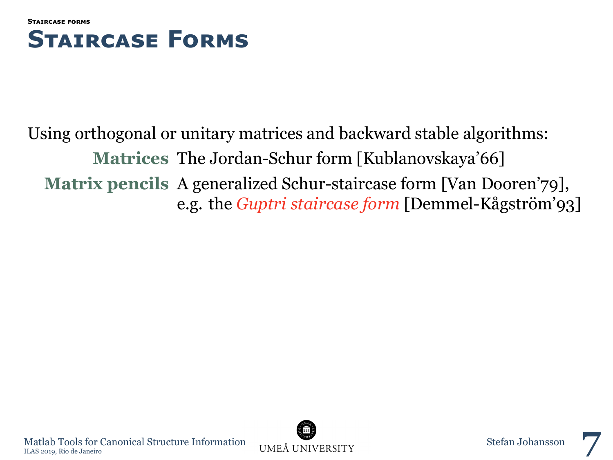<span id="page-10-0"></span>



Using orthogonal or unitary matrices and backward stable algorithms: **Matrices** The Jordan-Schur form [Kublanovskaya'66] **Matrix pencils** A generalized Schur-staircase form [Van Dooren'79], e.g. the *Guptri staircase form* [Demmel-Kågström'93]

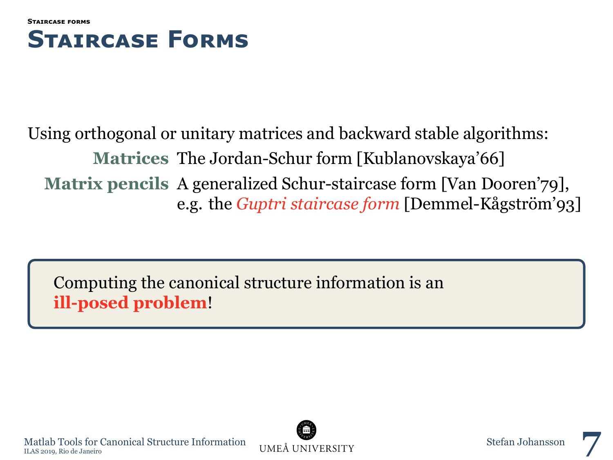

### Using orthogonal or unitary matrices and backward stable algorithms: **Matrices** The Jordan-Schur form [Kublanovskaya'66] **Matrix pencils** A generalized Schur-staircase form [Van Dooren'79], e.g. the *Guptri staircase form* [Demmel-Kågström'93]

Computing the canonical structure information is an **ill-posed problem**!



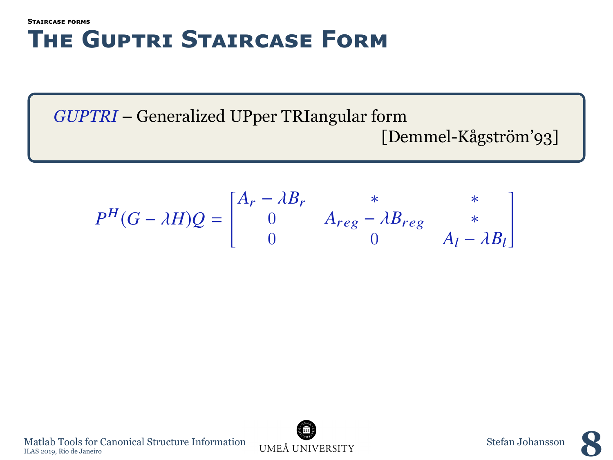### **[Staırcase forms](#page-10-0) The Guptrı Staırcase Form**

*GUPTRI* – Generalized UPper TRIangular form [Demmel-Kågström'93]

$$
P^{H}(G - \lambda H)Q = \begin{bmatrix} A_{r} - \lambda B_{r} & * & * \\ 0 & A_{reg} - \lambda B_{reg} & * \\ 0 & 0 & A_{l} - \lambda B_{l} \end{bmatrix}
$$

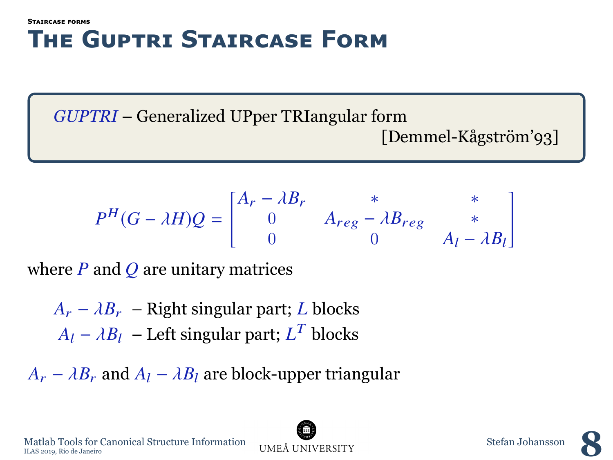#### **[Staırcase forms](#page-10-0) The Guptrı Staırcase Form**

*GUPTRI* – Generalized UPper TRIangular form [Demmel-Kågström'93]

$$
P^{H}(G - \lambda H)Q = \begin{bmatrix} A_{r} - \lambda B_{r} & * & * \\ 0 & A_{reg} - \lambda B_{reg} & * \\ 0 & 0 & A_{l} - \lambda B_{l} \end{bmatrix}
$$

where *P* and *Q* are unitary matrices

 $A_r - \lambda B_r$  – Right singular part; *L* blocks  $A_l - \lambda B_l$  – Left singular part;  $L^T$  blocks

 $A_r - \lambda B_r$  and  $A_l - \lambda B_l$  are block-upper triangular

Matlab Tools for Canonical Structure Information UMEÅ UNIVERSITY Stefan Johansson Stefan Johansson Matlab Tools for Canonical Structure Information UMEA UNIVERSITY Stefan Johansson Stefan Johansson Dune A UNIVERSITY

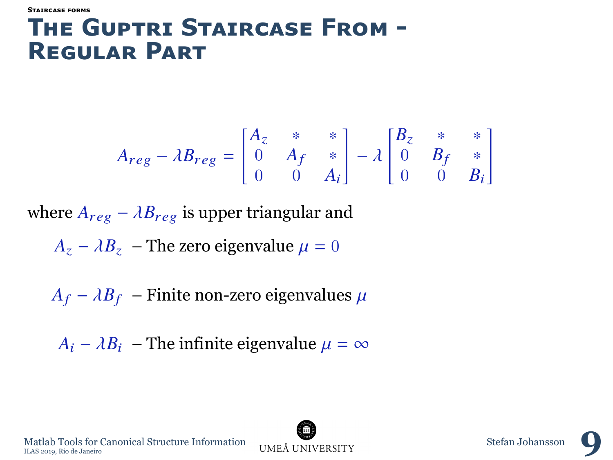#### **[Staırcase forms](#page-10-0)**

### **The Guptrı Staırcase From - Regular Part**

$$
A_{reg} - \lambda B_{reg} = \begin{bmatrix} A_z & * & * \\ 0 & A_f & * \\ 0 & 0 & A_i \end{bmatrix} - \lambda \begin{bmatrix} B_z & * & * \\ 0 & B_f & * \\ 0 & 0 & B_i \end{bmatrix}
$$

where  $A_{reg} - \lambda B_{reg}$  is upper triangular and

$$
A_z - \lambda B_z
$$
 - The zero eigenvalue  $\mu = 0$ 

 $A_f - \lambda B_f$  – Finite non-zero eigenvalues  $\mu$ 

 $A_i - \lambda B_i$  – The infinite eigenvalue  $\mu = \infty$ 

Matlab Tools for Canonical Structure Information UMEA UNIVERSITY Stefan Johansson **9** 

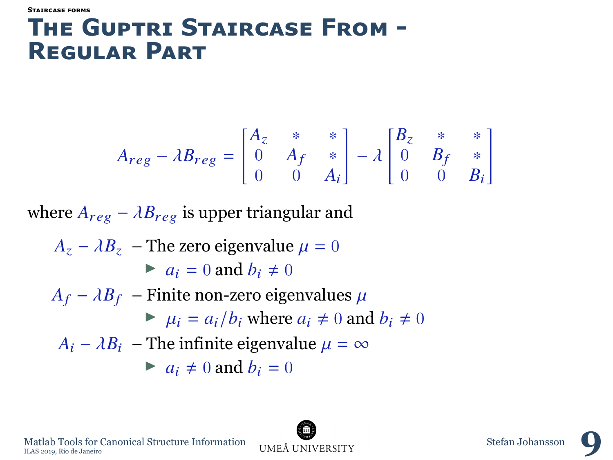#### **[Staırcase forms](#page-10-0)**

### **The Guptrı Staırcase From - Regular Part**

$$
A_{reg} - \lambda B_{reg} = \begin{bmatrix} A_z & * & * \\ 0 & A_f & * \\ 0 & 0 & A_i \end{bmatrix} - \lambda \begin{bmatrix} B_z & * & * \\ 0 & B_f & * \\ 0 & 0 & B_i \end{bmatrix}
$$

where  $A_{reg} - \lambda B_{reg}$  is upper triangular and

$$
A_z - \lambda B_z
$$
 - The zero eigenvalue  $\mu = 0$   
\n
$$
a_i = 0 \text{ and } b_i \neq 0
$$
  
\n
$$
A_f - \lambda B_f
$$
 - Finite non-zero eigenvalues  $\mu$   
\n
$$
\mu_i = a_i/b_i \text{ where } a_i \neq 0 \text{ and } b_i \neq 0
$$
  
\n
$$
A_i - \lambda B_i
$$
 - The infinite eigenvalue  $\mu = \infty$   
\n
$$
a_i \neq 0 \text{ and } b_i = 0
$$

Matlab Tools for Canonical Structure Information UMEA UNIVERSITY Stefan Johansson **9**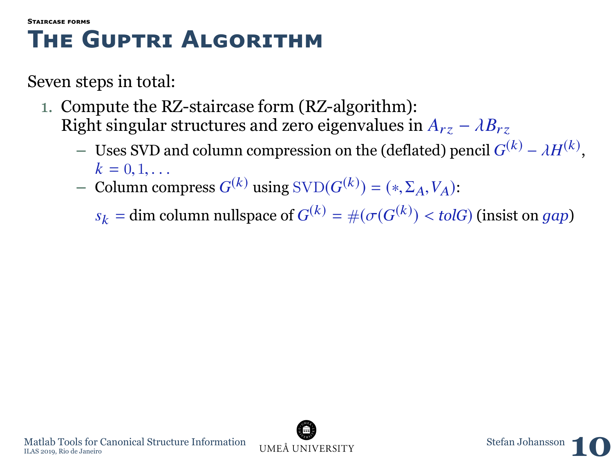- 1. Compute the RZ-staircase form (RZ-algorithm): Right singular structures and zero eigenvalues in  $A_{rz} - \lambda B_{rz}$ 
	- **–** Uses SVD and column compression on the (deflated) pencil  $G^{(k)} \lambda H^{(k)}$ ,  $k = 0, 1, ...$
	- *k* = 0, 1, ...<br> **–** Column compress *G*<sup>(*k*)</sup> using SVD(*G*<sup>(*k*)</sup>) = (\*, Σ<sub>A</sub>, V<sub>A</sub>):
		- $s_k =$ **dim column nullspace of**  $G^{(k)} = \#(\sigma(G^{(k)}) <$  *tolG*) (insist on *gap*)

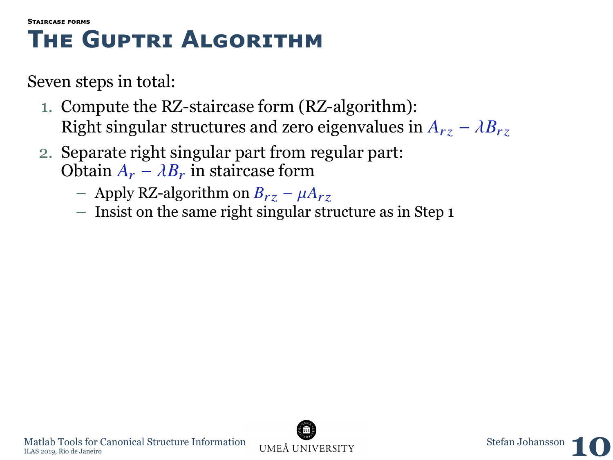- 1. Compute the RZ-staircase form (RZ-algorithm): Right singular structures and zero eigenvalues in  $A_{rz} - \lambda B_{rz}$
- 2. Separate right singular part from regular part: Obtain  $A_r - \lambda B_r$  in staircase form
	- **–** Apply RZ-algorithm on *<sup>B</sup>*rz <sup>−</sup> <sup>µ</sup>*A*rz
	- **–** Insist on the same right singular structure as in Step 1

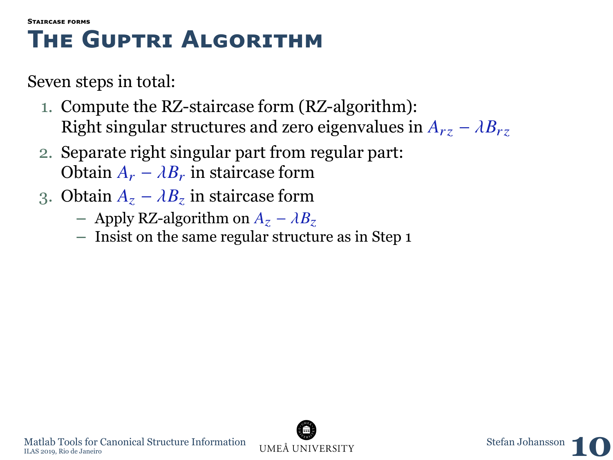- 1. Compute the RZ-staircase form (RZ-algorithm): Right singular structures and zero eigenvalues in  $A_{rz} - \lambda B_{rz}$
- 2. Separate right singular part from regular part: Obtain  $A_r - \lambda B_r$  in staircase form
- 3. Obtain  $A_z \lambda B_z$  in staircase form
	- **–** Apply RZ-algorithm on *<sup>A</sup>*<sup>z</sup> <sup>−</sup> <sup>λ</sup>*B*<sup>z</sup>
	- **–** Insist on the same regular structure as in Step 1

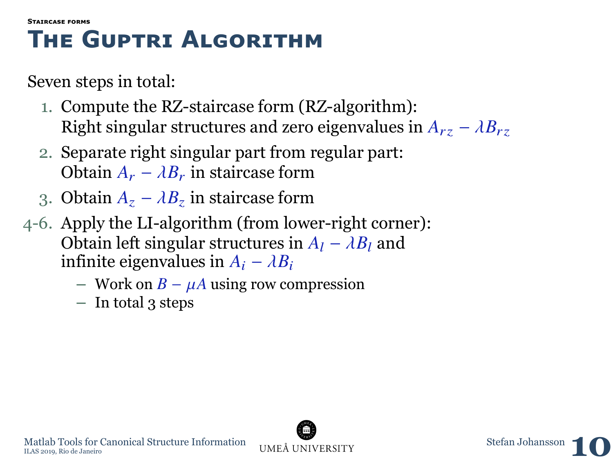- 1. Compute the RZ-staircase form (RZ-algorithm): Right singular structures and zero eigenvalues in  $A_{rz} - \lambda B_{rz}$
- 2. Separate right singular part from regular part: Obtain  $A_r - \lambda B_r$  in staircase form
- 3. Obtain  $A_z \lambda B_z$  in staircase form
- 4-6. Apply the LI-algorithm (from lower-right corner): Obtain left singular structures in  $A_l - \lambda B_l$  and infinite eigenvalues in  $A_i - \lambda B_i$ 
	- **–** Work on *<sup>B</sup>* <sup>−</sup> µ*<sup>A</sup>* using row compression
	- **–** In total 3 steps

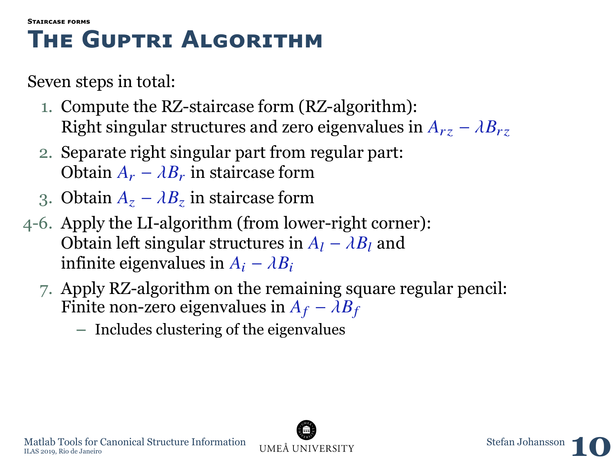- 1. Compute the RZ-staircase form (RZ-algorithm): Right singular structures and zero eigenvalues in  $A_{rz} - \lambda B_{rz}$
- 2. Separate right singular part from regular part: Obtain  $A_r - \lambda B_r$  in staircase form
- 3. Obtain  $A_z \lambda B_z$  in staircase form
- 4-6. Apply the LI-algorithm (from lower-right corner): Obtain left singular structures in  $A_1 - \lambda B_1$  and infinite eigenvalues in  $A_i - \lambda B_i$ 
	- 7. Apply RZ-algorithm on the remaining square regular pencil: Finite non-zero eigenvalues in  $A_f - \lambda B_f$ 
		- **–** Includes clustering of the eigenvalues

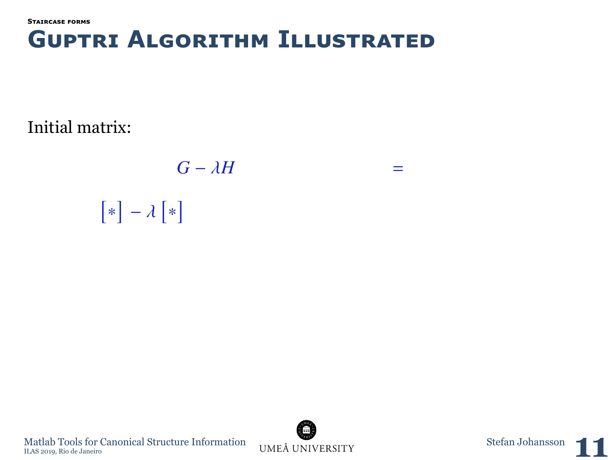**[Staırcase forms](#page-10-0)**

### **Guptrı Algorıthm Illustrated**

Initial matrix:

*<sup>G</sup>* <sup>−</sup> λ*<sup>H</sup>*  $[*] - \lambda[*]$ 



=

Matlab Tools for Canonical Structure Information UMEÅ UNIVERSITY Stefan Johansson **11**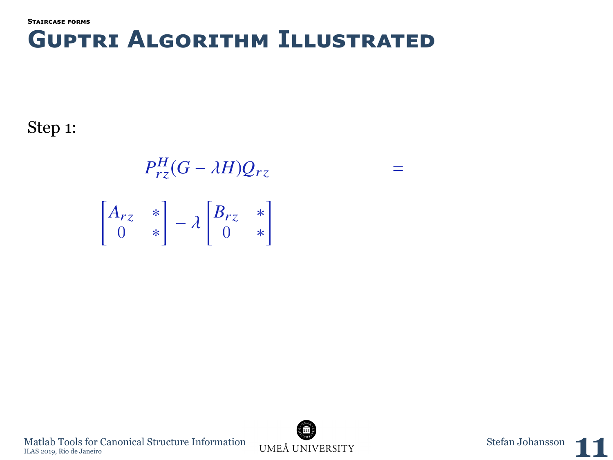Step 1:

 $P_{rz}^H(G - \lambda H)Q_{rz}$  $A_{rz}$  ∗ 0 ∗  $\Bigg] - \lambda \begin{bmatrix} B_{rz} & * \\ 0 & * \end{bmatrix}$ 0 ∗ 1

=

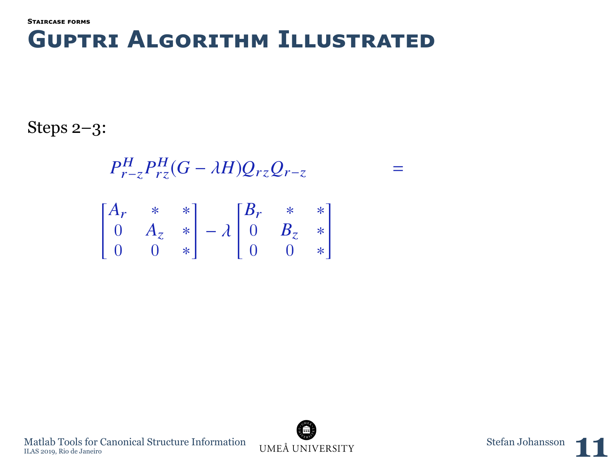Steps 2–3:

$$
P_{r-z}^{H} P_{rz}^{H} (G - \lambda H) Q_{rz} Q_{r-z}
$$
  
\n
$$
\begin{bmatrix} A_r & * & * \\ 0 & A_z & * \\ 0 & 0 & * \end{bmatrix} - \lambda \begin{bmatrix} B_r & * & * \\ 0 & B_z & * \\ 0 & 0 & * \end{bmatrix}
$$



=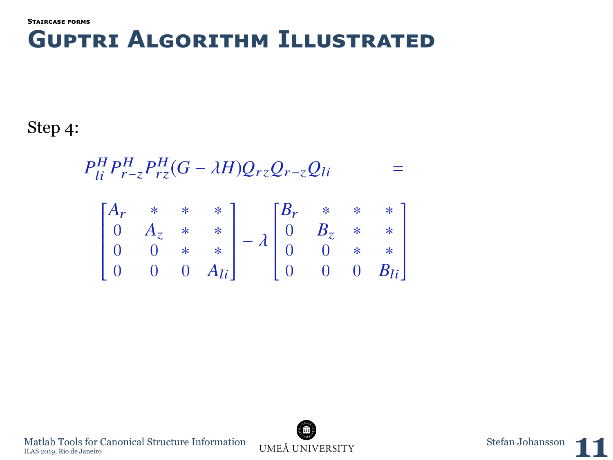Step 4:

$$
P_{li}^H P_{r-z}^H P_{rz}^H (G - \lambda H) Q_{rz} Q_{r-z} Q_{li} =
$$

$$
\begin{bmatrix} A_r & * & * & * \\ 0 & A_z & * & * \\ 0 & 0 & * & * \\ 0 & 0 & 0 & A_{li} \end{bmatrix} - \lambda \begin{bmatrix} B_r & * & * & * \\ 0 & B_z & * & * \\ 0 & 0 & * & * \\ 0 & 0 & 0 & B_{li} \end{bmatrix}
$$

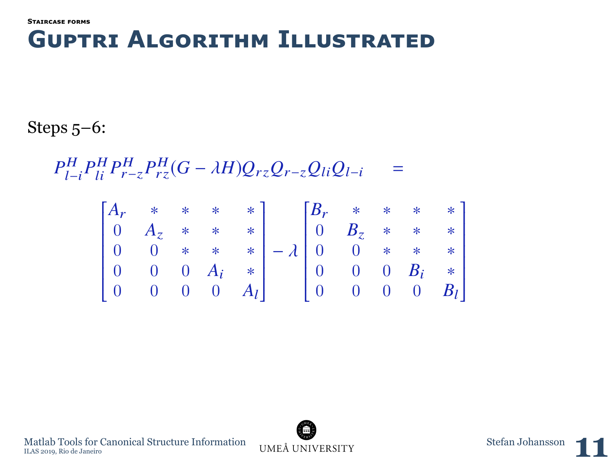Steps 5–6:

 $P_{l-i}^H P_{li}^H P_{r-z}^H P_{rz}^H (G - \lambda H) Q_{rz} Q_{r-z} Q_{li} Q_{l-i}$ =

$$
\begin{bmatrix} A_r & * & * & * & * \\ 0 & A_z & * & * & * \\ 0 & 0 & * & * & * \\ 0 & 0 & 0 & A_i & * \\ 0 & 0 & 0 & 0 & A_l \end{bmatrix} - \lambda \begin{bmatrix} B_r & * & * & * & * \\ 0 & B_z & * & * & * \\ 0 & 0 & * & * & * \\ 0 & 0 & 0 & B_i & * \\ 0 & 0 & 0 & 0 & B_l \end{bmatrix}
$$

Matlab Tools for Canonical Structure Information UMEÅ UNIVERSITY Stefan Johansson **11** 



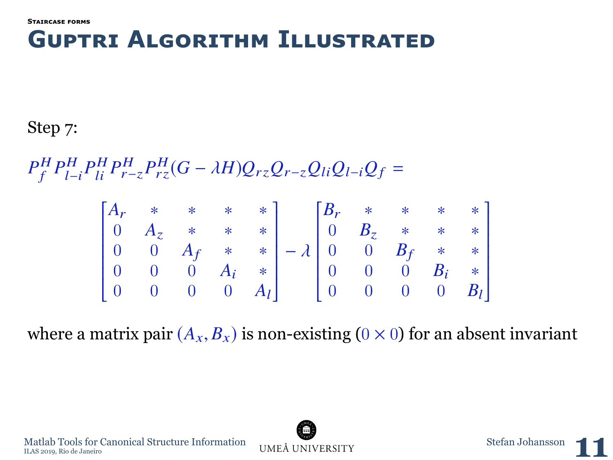Step 7:

 $P_f^H P_{l-i}^H P_{li}^H P_{r-z}^H P_{rz}^H (G - \lambda H) Q_{rz} Q_{r-z} Q_{li} Q_{l-i} Q_f =$ 

$$
\begin{bmatrix} A_r & * & * & * & * \\ 0 & A_z & * & * & * \\ 0 & 0 & A_f & * & * \\ 0 & 0 & 0 & A_i & * \\ 0 & 0 & 0 & 0 & A_l \end{bmatrix} - \lambda \begin{bmatrix} B_r & * & * & * & * \\ 0 & B_z & * & * & * \\ 0 & 0 & B_f & * & * \\ 0 & 0 & 0 & B_i & * \\ 0 & 0 & 0 & 0 & B_l \end{bmatrix}
$$

where a matrix pair  $(A_x, B_x)$  is non-existing  $(0 \times 0)$  for an absent invariant

Ī

Ī



 $\begin{minipage}{0.9\linewidth} \textbf{Matala Tools for Canonical Structure Information} & \begin{minipage}{0.9\linewidth} \textbf{MEA} & \begin{minipage}{0.9\linewidth} \textbf{MHA} & \begin{minipage}{0.9\linewidth} \end{minipage} \end{minipage} \begin{minipage}{0.9\linewidth} \end{minipage} \begin{minipage}{0.9\linewidth} \textbf{MELA} & \begin{minipage}{0.9\linewidth} \end{minipage} \end{minipage} \begin{minipage}{0.9\linewidth} \end{minipage} \begin{minipage}{0.9\linewidth} \begin{minipage}{0.9\linewidth} \begin{minipage}{0.$ Matlab Tools for Canonical Structure Information UMEÅ UNIVERSITY Stefan Johansson **11** 

Ī

Ī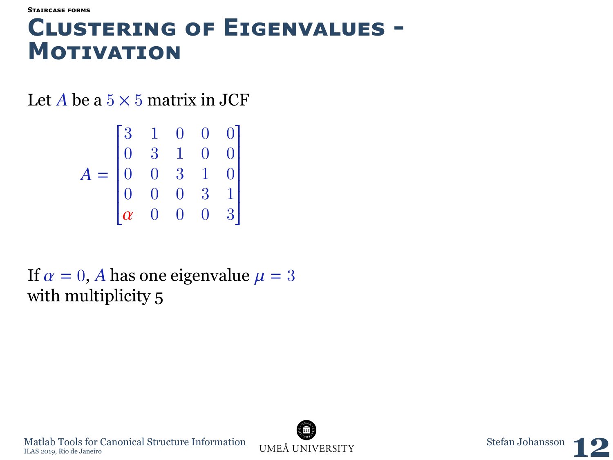### **Clusterıng of Eıgenvalues - Motıvatıon**

Let *A* be a  $5 \times 5$  matrix in JCF

$$
A = \begin{bmatrix} 3 & 1 & 0 & 0 & 0 \\ 0 & 3 & 1 & 0 & 0 \\ 0 & 0 & 3 & 1 & 0 \\ 0 & 0 & 0 & 3 & 1 \\ \alpha & 0 & 0 & 0 & 3 \end{bmatrix}
$$

If  $\alpha = 0$ , *A* has one eigenvalue  $\mu = 3$ with multiplicity 5



 $\begin{minipage}{0.5cm}\textbf{Math Tools for Canonical Structure Information} & \begin{minipage}{1.4cm}\textbf{UMEÅ UNIVERSITY} \end{minipage} \end{minipage} \begin{minipage}{0.5cm}\textbf{Stefan Johansson} \end{minipage} \begin{minipage}{0.5cm}\textbf{Stefan Johansson} \end{minipage} \begin{minipage}{0.5cm}\textbf{MSE} \end{minipage} \begin{minipage}{0.5cm}\textbf{MSE} \end{minipage} \begin{minipage}{0.5cm}\textbf{MSE} \end{minipage} \begin{minipage}{0.5cm}\textbf{MSE} \end{minipage} \begin{min$ Matlab Tools for Canonical Structure Information UMEÅ UNIVERSITY Stefan Johansson **12**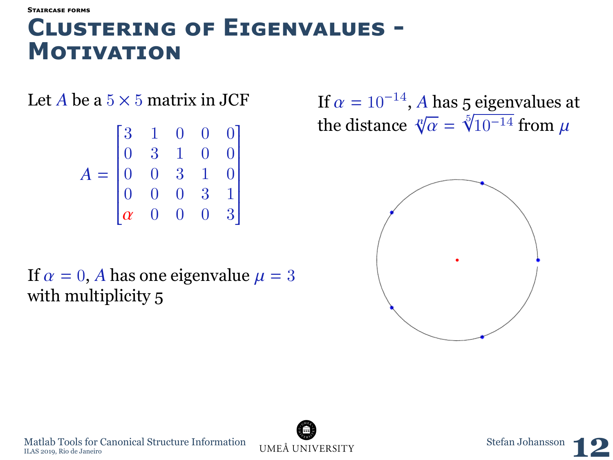**[Staırcase forms](#page-10-0)**

### **Clusterıng of Eıgenvalues - Motıvatıon**

Let *A* be a  $5 \times 5$  matrix in JCF

$$
A = \begin{bmatrix} 3 & 1 & 0 & 0 & 0 \\ 0 & 3 & 1 & 0 & 0 \\ 0 & 0 & 3 & 1 & 0 \\ 0 & 0 & 0 & 3 & 1 \\ \alpha & 0 & 0 & 0 & 3 \end{bmatrix}
$$

If  $\alpha = 0$ , *A* has one eigenvalue  $\mu = 3$ with multiplicity 5

If  $\alpha = 10^{-14}$ , *A* has 5 eigenvalues at<br>the distance  $\sqrt[8]{\alpha} = \sqrt[5]{10^{-14}}$  from  $\mu$ the distance  $\sqrt[n]{}$ √  $\alpha =$  $\frac{5}{2}$  $10^{-14}$  from  $\mu$ 





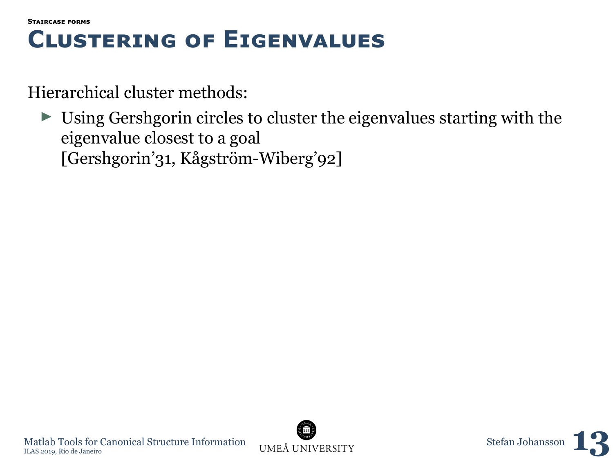```
Staırcase forms
```
### **Clusterıng of Eıgenvalues**

Hierarchical cluster methods:

 $\triangleright$  Using Gershgorin circles to cluster the eigenvalues starting with the eigenvalue closest to a goal [Gershgorin'31, Kågström-Wiberg'92]

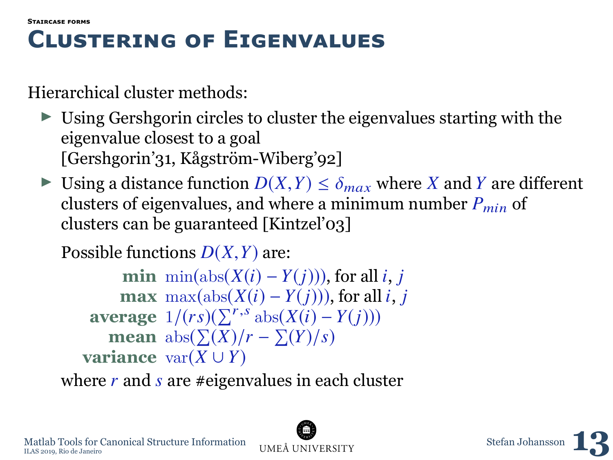```
Staırcase forms
```
## **Clusterıng of Eıgenvalues**

Hierarchical cluster methods:

- $\triangleright$  Using Gershgorin circles to cluster the eigenvalues starting with the eigenvalue closest to a goal [Gershgorin'31, Kågström-Wiberg'92]
- ► Using a distance function  $D(X, Y) \leq \delta_{max}$  where *X* and *Y* are different clusters of eigenvalues, and where a minimum number  $P_{min}$  of clusters can be guaranteed [Kintzel'03]

Possible functions *<sup>D</sup>*(*X*,*Y*) are:

**min** min(abs( $X(i) - Y(i)$ )), for all *i*, *j* **max** max $(\text{abs}(X(i) - Y(i)))$ , for all *i*, *j*  $\textbf{average } 1/(rs)(\sum^{r,s} \text{abs}(X(i) - Y(j)))$ **mean**  $\mathrm{abs}(\sum(X)/r - \sum(Y)/s)$ **variance**  $var(X \cup Y)$ 

where *r* and *s* are #eigenvalues in each cluster



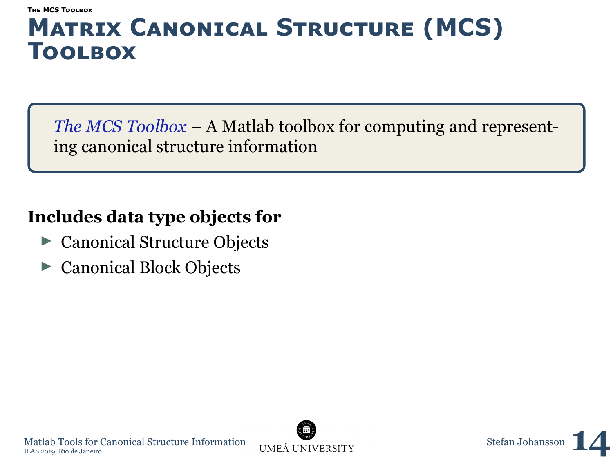<span id="page-31-0"></span>*The MCS Toolbox* – A Matlab toolbox for computing and representing canonical structure information

### **Includes data type objects for**

- $\triangleright$  Canonical Structure Objects
- Canonical Block Objects



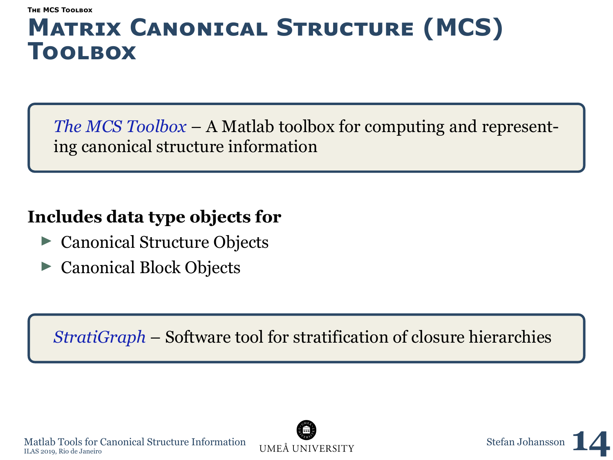*The MCS Toolbox* – A Matlab toolbox for computing and representing canonical structure information

### **Includes data type objects for**

- $\triangleright$  Canonical Structure Objects
- Canonical Block Objects

*StratiGraph* – Software tool for stratification of closure hierarchies





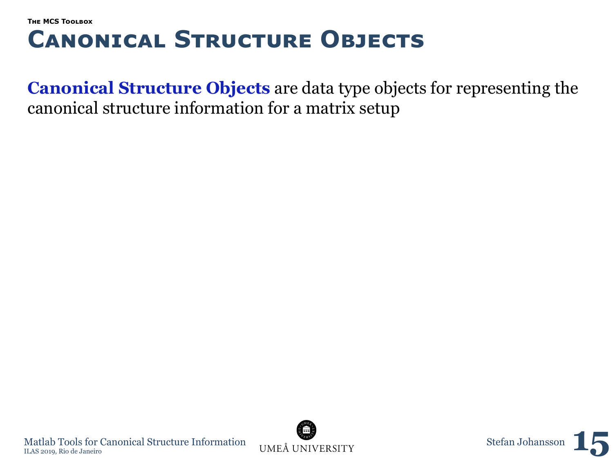**Canonical Structure Objects** are data type objects for representing the canonical structure information for a matrix setup



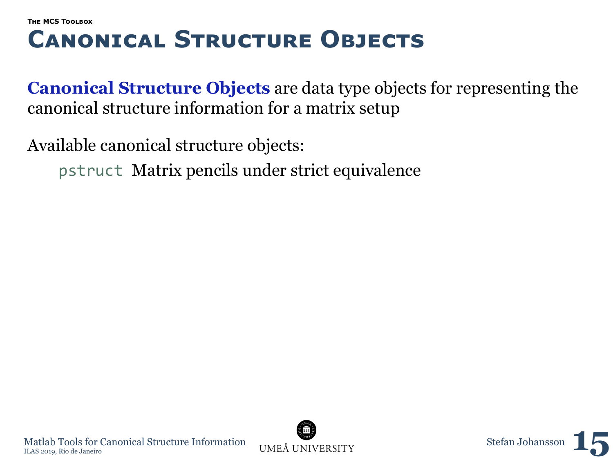**Canonical Structure Objects** are data type objects for representing the canonical structure information for a matrix setup

Available canonical structure objects:

pstruct Matrix pencils under strict equivalence



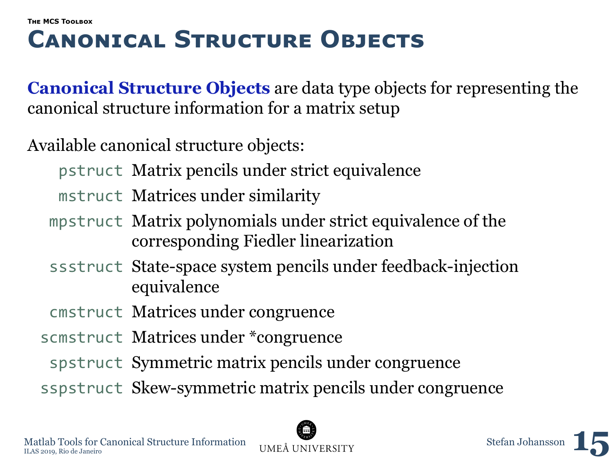**Canonical Structure Objects** are data type objects for representing the canonical structure information for a matrix setup

Available canonical structure objects:

- pstruct Matrix pencils under strict equivalence
- mstruct Matrices under similarity
- mpstruct Matrix polynomials under strict equivalence of the corresponding Fiedler linearization
- ssstruct State-space system pencils under feedback-injection equivalence
- cmstruct Matrices under congruence
- scmstruct Matrices under \*congruence
	- spstruct Symmetric matrix pencils under congruence
- sspstruct Skew-symmetric matrix pencils under congruence



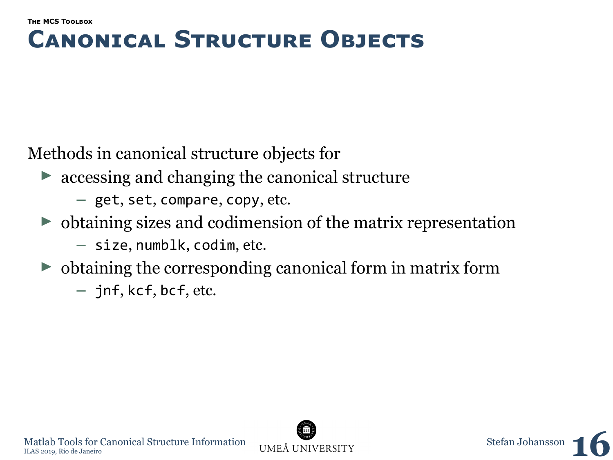Methods in canonical structure objects for

- $\triangleright$  accessing and changing the canonical structure
	- **–** get, set, compare, copy, etc.
- $\triangleright$  obtaining sizes and codimension of the matrix representation
	- **–** size, numblk, codim, etc.
- $\triangleright$  obtaining the corresponding canonical form in matrix form
	- **–** jnf, kcf, bcf, etc.



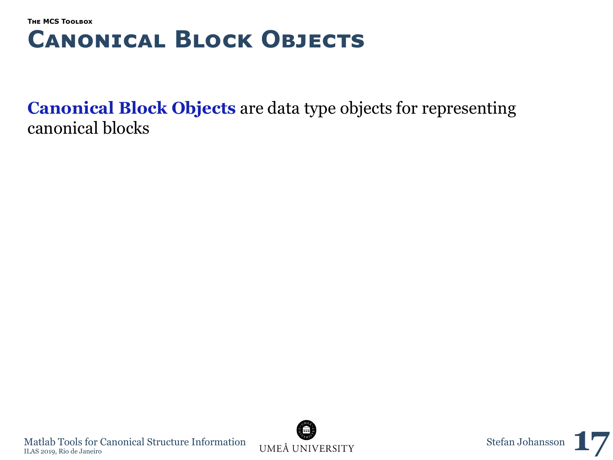**Canonical Block Objects** are data type objects for representing canonical blocks



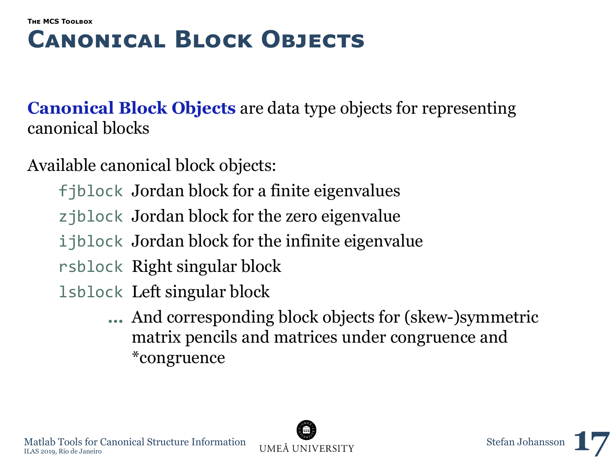### **[The MCS Toolbox](#page-31-0) Canonıcal Block Objects**

**Canonical Block Objects** are data type objects for representing canonical blocks

Available canonical block objects:

fjblock Jordan block for a finite eigenvalues

zjblock Jordan block for the zero eigenvalue

ijblock Jordan block for the infinite eigenvalue

rsblock Right singular block

lsblock Left singular block

**…** And corresponding block objects for (skew-)symmetric matrix pencils and matrices under congruence and \*congruence



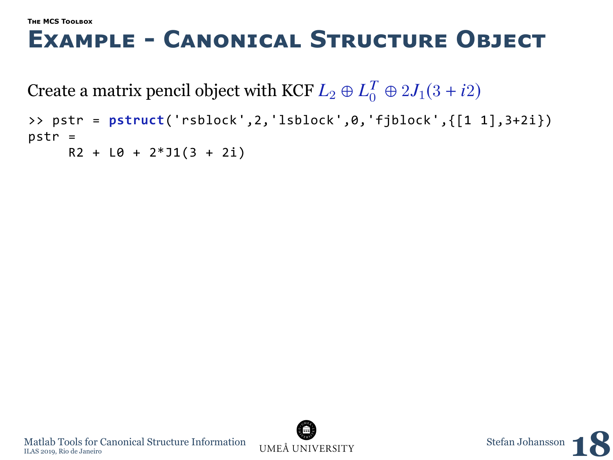### **Example - Canonıcal Structure Object**

Create a matrix pencil object with KCF  $L_2 \oplus L_0^T \oplus 2J_1(3 + i2)$ 

```
>> pstr = pstruct('rsblock',2,'lsblock',0,'fjblock',{[1 1],3+2i})
pstr =
     R2 + L0 + 2*J1(3 + 2i)
```


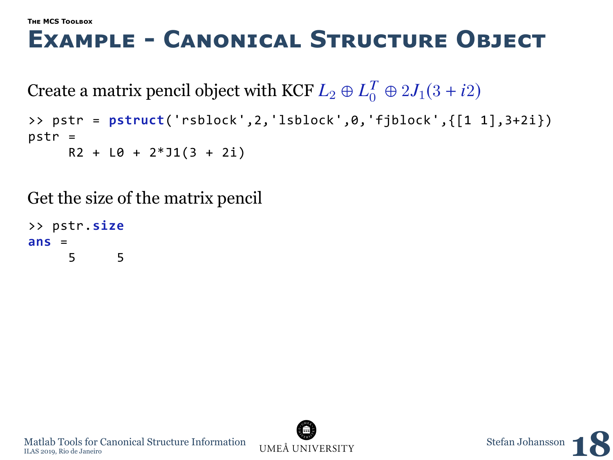## **Example - Canonıcal Structure Object**

Create a matrix pencil object with KCF  $L_2 \oplus L_0^T \oplus 2J_1(3 + i2)$ 

```
>> pstr = pstruct('rsblock',2,'lsblock',0,'fjblock',{[1 1],3+2i})
pstr =
     R2 + L0 + 2*J1(3 + 2i)
```
Get the size of the matrix pencil

>> pstr.**size ans** = 5 5



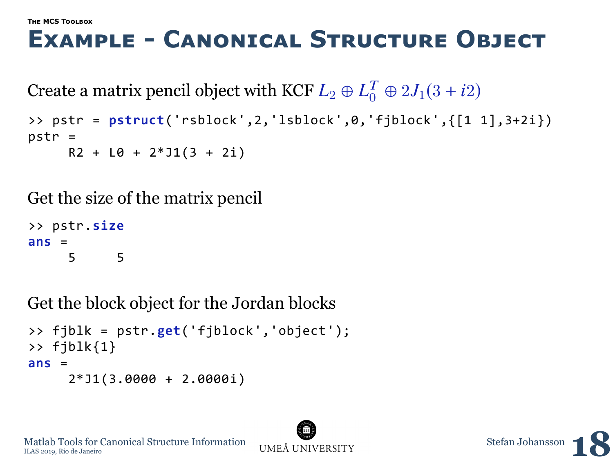## **Example - Canonıcal Structure Object**

Create a matrix pencil object with KCF  $L_2 \oplus L_0^T \oplus 2J_1(3 + i2)$ 

```
>> pstr = pstruct('rsblock',2,'lsblock',0,'fjblock',{[1 1],3+2i})
pstr =
     R2 + L0 + 2*J1(3 + 2i)
```
Get the size of the matrix pencil

>> pstr.**size**  $ans =$ 5 5

Get the block object for the Jordan blocks

```
>> fjblk = pstr.get('fjblock','object');
>> fjblk{1}
ans =
     2*J1(3.0000 + 2.0000i)
```




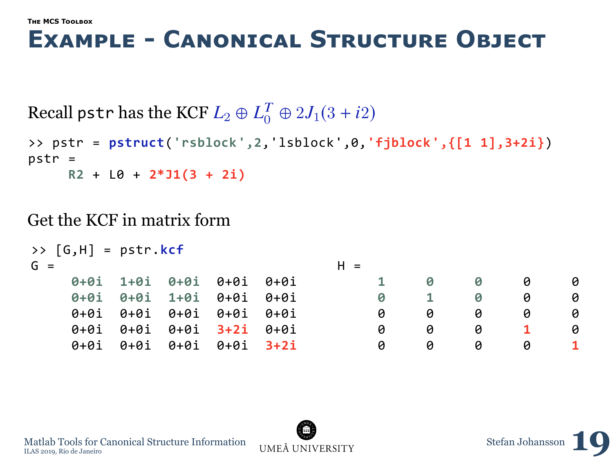### **Example - Canonıcal Structure Object**

Recall pstr has the KCF  $L_2 \oplus L_0^T \oplus 2J_1(3+i2)$ 

```
>> pstr = pstruct('rsblock',2,'lsblock',0,'fjblock',{[1 1],3+2i})
pstr =R2 + L0 + 2*J1(3 + 2i)
```
Get the KCF in matrix form

| >> $[G,H] = pstr.Kcf$              |                          |  |       |   |   |   |   |   |
|------------------------------------|--------------------------|--|-------|---|---|---|---|---|
| $G =$                              |                          |  | $H =$ |   |   |   |   |   |
|                                    | 0+0i 1+0i 0+0i 0+0i 0+0i |  |       |   |   | 0 | 0 | ø |
|                                    | 0+0i 0+0i 1+0i 0+0i 0+0i |  |       | ø |   | 0 | ø | a |
| 0+0i 0+0i 0+0i 0+0i 0+0i           |                          |  |       | a | ø | 0 | ø | ø |
| $0+0i$ $0+0i$ $0+0i$ $3+2i$ $0+0i$ |                          |  |       | a | 0 | 0 |   | ø |
| 0+0i 0+0i 0+0i 0+0i 3+2i           |                          |  |       | ø | ø | ø | ø |   |

Matlab Tools for Canonical Structure Information UMEÅ UNIVERSITY Stefan Johansson, Rio de Janeiro Matlab Tools for Canonical Structure Information UMEÅ UNIVERSITY Stefan Johansson **10** 

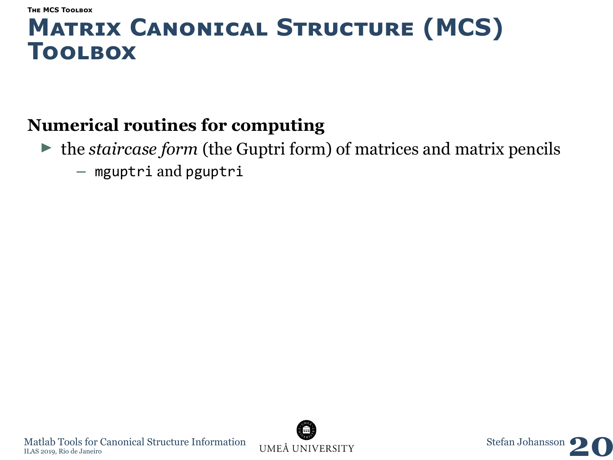### **Numerical routines for computing**

 $\triangleright$  the *staircase form* (the Guptri form) of matrices and matrix pencils **–** mguptri and pguptri



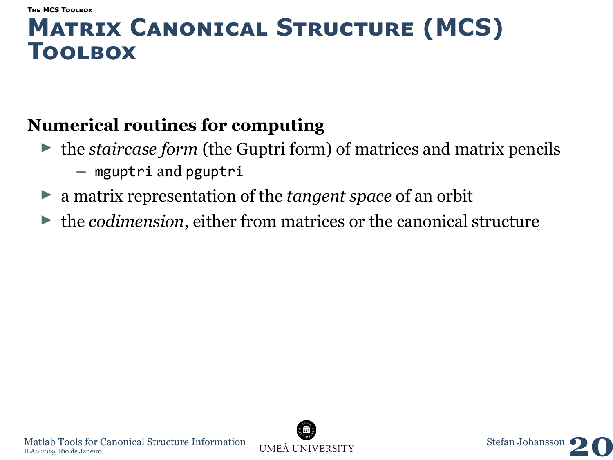### **Numerical routines for computing**

- $\triangleright$  the *staircase form* (the Guptri form) of matrices and matrix pencils **–** mguptri and pguptri
- ▶ a matrix representation of the *tangent space* of an orbit
- $\triangleright$  the *codimension*, either from matrices or the canonical structure

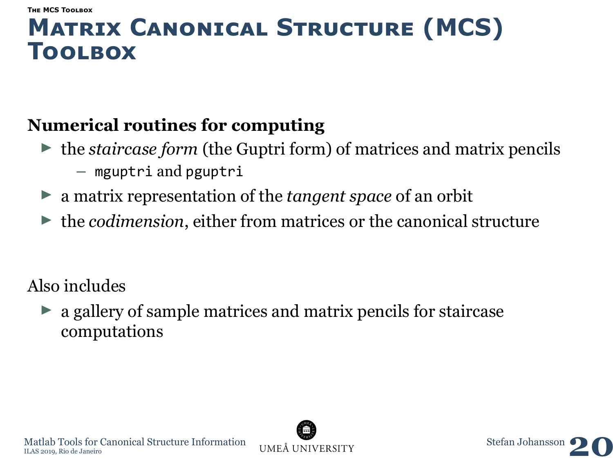### **Numerical routines for computing**

- $\blacktriangleright$  the *staircase form* (the Guptri form) of matrices and matrix pencils **–** mguptri and pguptri
- ▶ a matrix representation of the *tangent space* of an orbit
- $\triangleright$  the *codimension*, either from matrices or the canonical structure

Also includes

 $\triangleright$  a gallery of sample matrices and matrix pencils for staircase computations



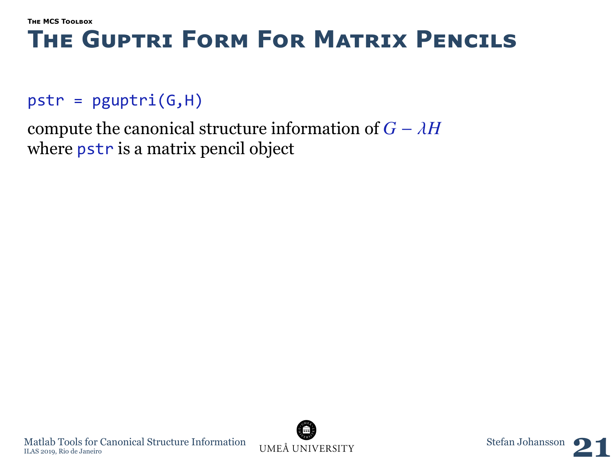## **The Guptrı Form For Matrıx Pencıls**

### $pstr = p$ guptri $(G,H)$

compute the canonical structure information of  $G - \lambda H$ where **pstr** is a matrix pencil object



 $\begin{minipage}{0.9\linewidth} \textbf{Matala Tools for Canonical Structure Information} & \begin{minipage}{0.9\linewidth} \textbf{MEA} & \begin{minipage}{0.9\linewidth} \textbf{MHA} & \begin{minipage}{0.9\linewidth} \end{minipage} \end{minipage} \begin{minipage}{0.9\linewidth} \end{minipage} \begin{minipage}{0.9\linewidth} \textbf{MELA} & \begin{minipage}{0.9\linewidth} \end{minipage} \end{minipage} \begin{minipage}{0.9\linewidth} \end{minipage} \begin{minipage}{0.9\linewidth} \begin{minipage}{0.9\linewidth} \begin{minipage}{0.$ Matlab Tools for Canonical Structure Information UMEÅ UNIVERSITY Stefan Johansson **21** 

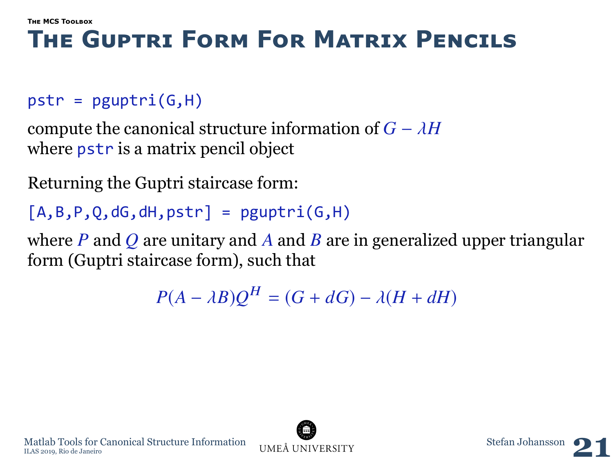## **The Guptrı Form For Matrıx Pencıls**

### $pstr = p$ guptri $(G,H)$

compute the canonical structure information of  $G - \lambda H$ where **pstr** is a matrix pencil object

Returning the Guptri staircase form:

 $[A,B,P,0,dG,dH,pstr] = peuptri(G,H)$ 

where *P* and *Q* are unitary and *A* and *B* are in generalized upper triangular form (Guptri staircase form), such that

 $P(A - \lambda B)Q^{H} = (G + dG) - \lambda (H + dH)$ 

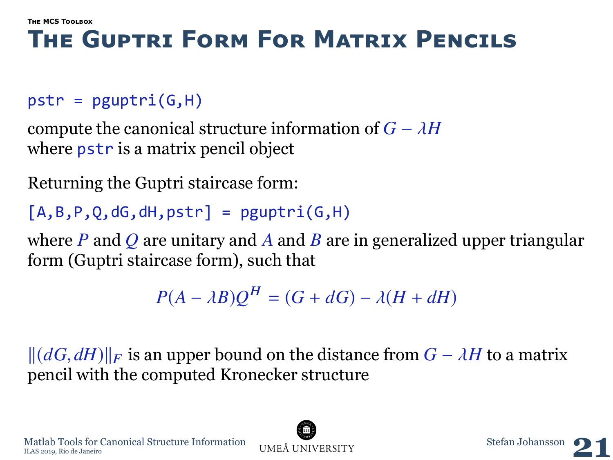## **The Guptrı Form For Matrıx Pencıls**

### $pstr = p$ guptri $(G,H)$

compute the canonical structure information of  $G - \lambda H$ where **pstr** is a matrix pencil object

Returning the Guptri staircase form:

 $[A,B,P,0,dG,dH,pstr] = peuptri(G,H)$ 

where *P* and *Q* are unitary and *A* and *B* are in generalized upper triangular form (Guptri staircase form), such that

 $P(A - \lambda B)Q^{H} = (G + dG) - \lambda (H + dH)$ 

 $\|(dG, dH)\|_F$  is an upper bound on the distance from  $G - \lambda H$  to a matrix pencil with the computed Kronecker structure



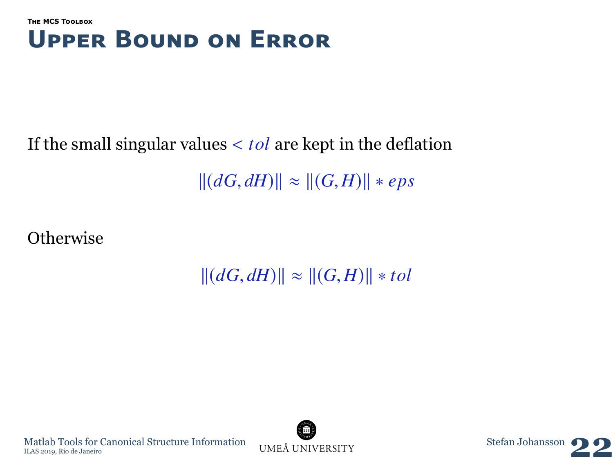#### **[The MCS Toolbox](#page-31-0) Upper Bound on Error**

# If the small singular values < *tol* are kept in the deflation

 $||(dG, dH)|| \approx ||(G, H)|| * eps$ 

**Otherwise** 

 $||(dG, dH)|| \approx ||(G, H)|| * tol$ 



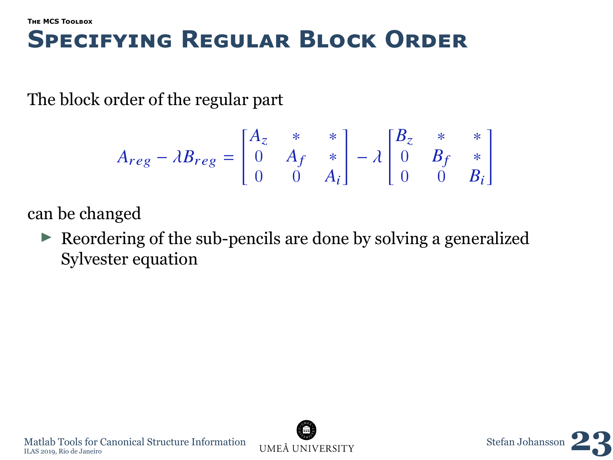### **Specıfyıng Regular Block Order**

The block order of the regular part

$$
A_{reg} - \lambda B_{reg} = \begin{bmatrix} A_z & * & * \\ 0 & A_f & * \\ 0 & 0 & A_i \end{bmatrix} - \lambda \begin{bmatrix} B_z & * & * \\ 0 & B_f & * \\ 0 & 0 & B_i \end{bmatrix}
$$

can be changed

 $\triangleright$  Reordering of the sub-pencils are done by solving a generalized Sylvester equation



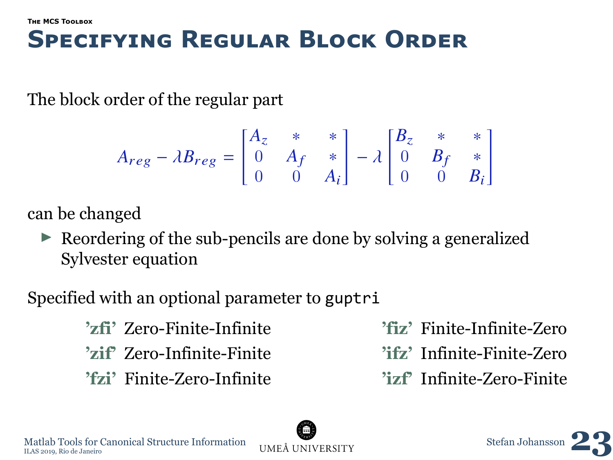## **Specıfyıng Regular Block Order**

The block order of the regular part

$$
A_{reg} - \lambda B_{reg} = \begin{bmatrix} A_z & * & * \\ 0 & A_f & * \\ 0 & 0 & A_i \end{bmatrix} - \lambda \begin{bmatrix} B_z & * & * \\ 0 & B_f & * \\ 0 & 0 & B_i \end{bmatrix}
$$

can be changed

Reordering of the sub-pencils are done by solving a generalized Sylvester equation

Specified with an optional parameter to guptri

**'zfi'** Zero-Finite-Infinite **'zif'** Zero-Infinite-Finite **'fzi'** Finite-Zero-Infinite **'fiz'** Finite-Infinite-Zero

- **'ifz'** Infinite-Finite-Zero
- **'izf'** Infinite-Zero-Finite

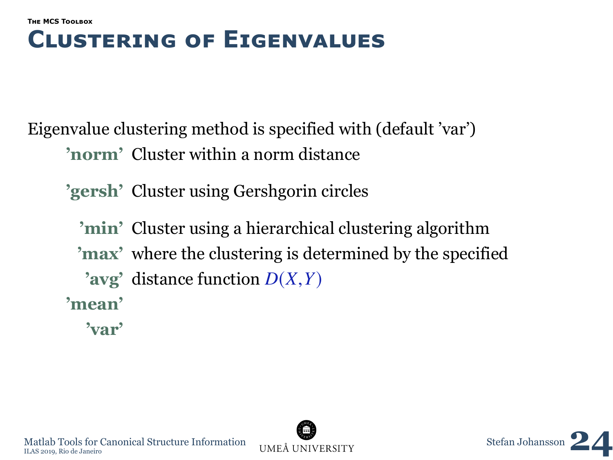#### **[The MCS Toolbox](#page-31-0) Clusterıng of Eıgenvalues**

Eigenvalue clustering method is specified with (default 'var') **'norm'** Cluster within a norm distance

**'gersh'** Cluster using Gershgorin circles

**'min'** Cluster using a hierarchical clustering algorithm **'max'** where the clustering is determined by the specified **'avg'** distance function *<sup>D</sup>*(*X*,*Y*) **'mean'**

**'var'**



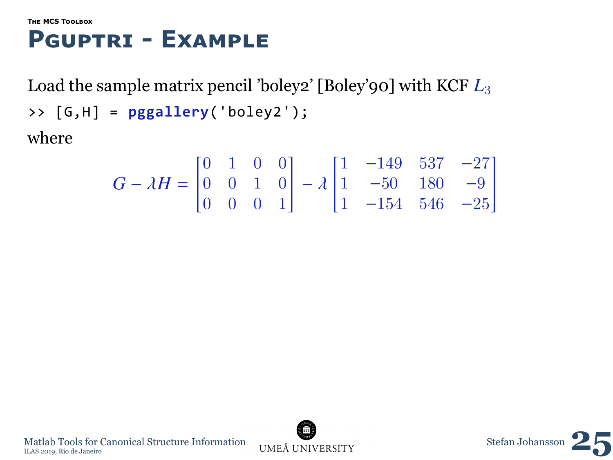### **Pguptrı - Example**

Load the sample matrix pencil 'boley2' [Boley'90] with KCF *L*<sup>3</sup> >> [G,H] = **pggallery**('boley2'); where

$$
G - \lambda H = \begin{bmatrix} 0 & 1 & 0 & 0 \\ 0 & 0 & 1 & 0 \\ 0 & 0 & 0 & 1 \end{bmatrix} - \lambda \begin{bmatrix} 1 & -149 & 537 & -27 \\ 1 & -50 & 180 & -9 \\ 1 & -154 & 546 & -25 \end{bmatrix}
$$

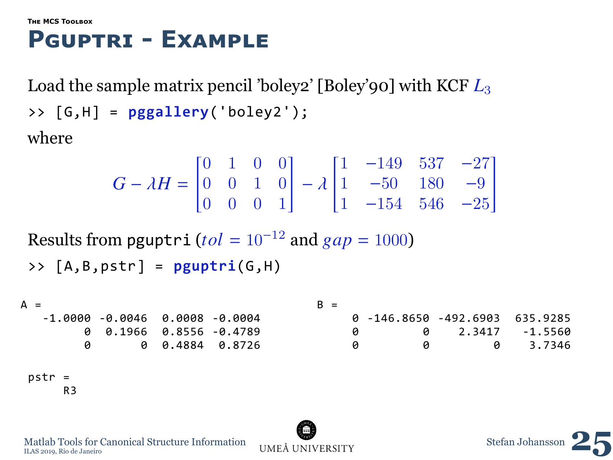### **Pguptrı - Example**

Load the sample matrix pencil 'boley2' [Boley'90] with KCF *L*<sup>3</sup> >> [G,H] = **pggallery**('boley2'); where

$$
G - \lambda H = \begin{bmatrix} 0 & 1 & 0 & 0 \\ 0 & 0 & 1 & 0 \\ 0 & 0 & 0 & 1 \end{bmatrix} - \lambda \begin{bmatrix} 1 & -149 & 537 & -27 \\ 1 & -50 & 180 & -9 \\ 1 & -154 & 546 & -25 \end{bmatrix}
$$

Results from pguptri ( $tol = 10^{-12}$  and  $gap = 1000$ )

```
>> [A,B,pstr] = pguptri(G,H)
```

```
\Delta =-1.0000 -0.0046 0.0008 -0.0004
         0 0.1966 0.8556 -0.4789
                    0 0 0.4884 0.8726
                                           B =0 -146.8650 -492.6903 635.9285
                                                0 0 2.3417 -1.5560<br>0 0 3.7346
                                                                     8 3.7346
 pstr =
      R3
```


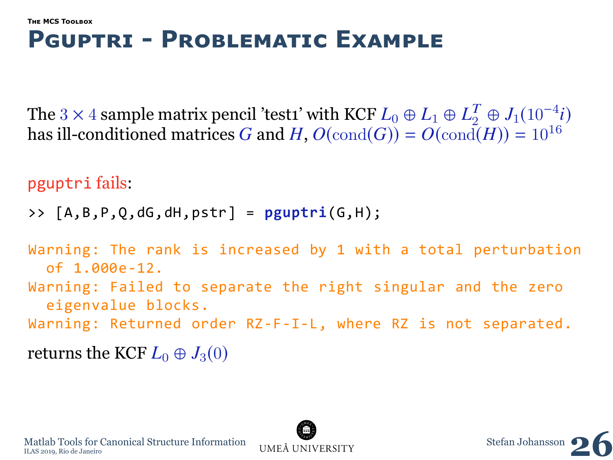### **Pguptrı - Problematıc Example**

The 3 × 4 sample matrix pencil 'test1' with KCF  $L_0 \oplus L_1 \oplus L_2^T \oplus J_1(10^{-4}i)$ has ill-conditioned matrices *G* and *H*,  $O(\text{cond}(G)) = O(\text{cond}(H)) = 10^{16}$ 

```
pguptri fails:
```

```
>> [A,B,P,Q,dG,dH,pstr] = pguptri(G,H);
```

```
Warning: The rank is increased by 1 with a total perturbation
  of 1.000e-12.
Warning: Failed to separate the right singular and the zero
  eigenvalue blocks.
Warning: Returned order RZ-F-I-L, where RZ is not separated.
returns the KCF L_0 \oplus J_3(0)
```


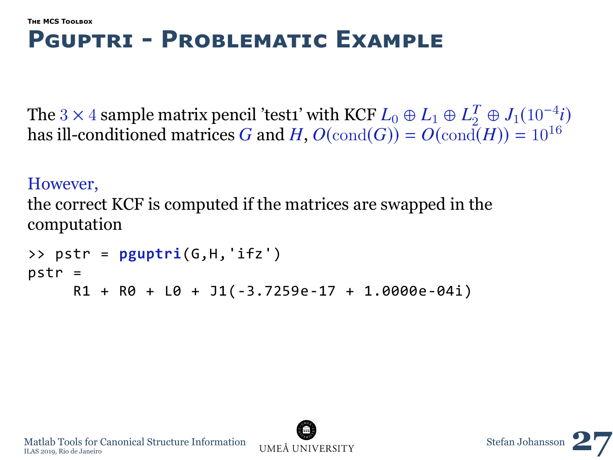### **Pguptrı - Problematıc Example**

The 3 × 4 sample matrix pencil 'test1' with KCF  $L_0 \oplus L_1 \oplus L_2^T \oplus J_1(10^{-4}i)$ has ill-conditioned matrices *G* and *H*,  $O(\text{cond}(G)) = O(\text{cond}(H)) = 10^{16}$ 

#### However,

the correct KCF is computed if the matrices are swapped in the computation

```
>> pstr = pguptri(G,H,'ifz')
pstr =
     R1 + R0 + L0 + J1(-3.7259e-17 + 1.0000e-04i)
```